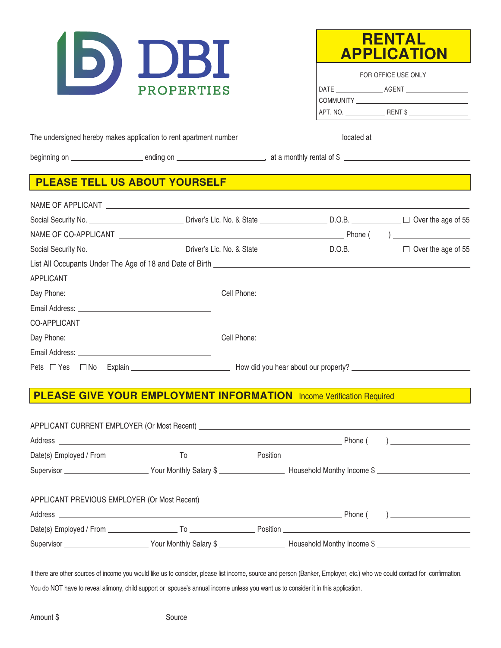



| FOR OFFICE USE ONLY |         |  |
|---------------------|---------|--|
| DATE                | AGENT   |  |
| <b>COMMUNITY</b>    |         |  |
| APT. NO.            | RENT \$ |  |

The undersigned hereby makes application to rent apartment number located at

beginning on ending on , at a monthly rental of \$

## **PLEASE TELL US ABOUT YOURSELF**

| APPLICANT    |                                                                                                                  |  |
|--------------|------------------------------------------------------------------------------------------------------------------|--|
|              |                                                                                                                  |  |
|              |                                                                                                                  |  |
| CO-APPLICANT |                                                                                                                  |  |
|              |                                                                                                                  |  |
|              |                                                                                                                  |  |
|              | Pets □ Yes □ No Explain Now the Manual How did you hear about our property? Now that The Second Second Property? |  |

## **PLEASE GIVE YOUR EMPLOYMENT INFORMATION** Income Verification Required

| If there are other sources of income you would like us to consider, please list income, source and person (Banker, Employer, etc.) who we could contact for confirmation. |  |  |
|---------------------------------------------------------------------------------------------------------------------------------------------------------------------------|--|--|

You do NOT have to reveal alimony, child support or spouse's annual income unless you want us to consider it in this application.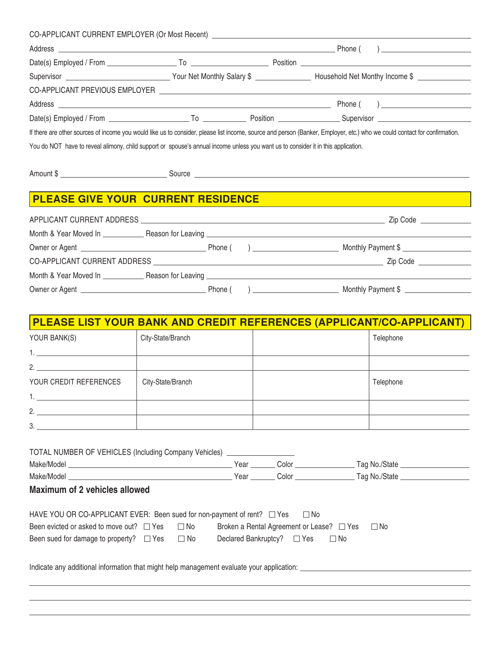|                                                                                                                                   |  | CO-APPLICANT CURRENT EMPLOYER (Or Most Recent) __________________________________                                                                                         |
|-----------------------------------------------------------------------------------------------------------------------------------|--|---------------------------------------------------------------------------------------------------------------------------------------------------------------------------|
|                                                                                                                                   |  |                                                                                                                                                                           |
|                                                                                                                                   |  |                                                                                                                                                                           |
|                                                                                                                                   |  |                                                                                                                                                                           |
|                                                                                                                                   |  |                                                                                                                                                                           |
|                                                                                                                                   |  |                                                                                                                                                                           |
|                                                                                                                                   |  |                                                                                                                                                                           |
|                                                                                                                                   |  | If there are other sources of income you would like us to consider, please list income, source and person (Banker, Employer, etc.) who we could contact for confirmation. |
| You do NOT have to reveal alimony, child support or spouse's annual income unless you want us to consider it in this application. |  |                                                                                                                                                                           |
|                                                                                                                                   |  |                                                                                                                                                                           |
|                                                                                                                                   |  | Amount \$                                                                                                                                                                 |
|                                                                                                                                   |  |                                                                                                                                                                           |
| <b>PLEASE GIVE YOUR CURRENT RESIDENCE</b>                                                                                         |  |                                                                                                                                                                           |
|                                                                                                                                   |  |                                                                                                                                                                           |
|                                                                                                                                   |  |                                                                                                                                                                           |
|                                                                                                                                   |  |                                                                                                                                                                           |
|                                                                                                                                   |  |                                                                                                                                                                           |

| Owner or Agent | Phone | <b>Monthly</b> | Payment 5 |  |
|----------------|-------|----------------|-----------|--|

Month & Year Moved In Reason for Leaving

| PLEASE LIST YOUR BANK AND CREDIT REFERENCES (APPLICANT/CO-APPLICANT) |                   |  |           |  |  |
|----------------------------------------------------------------------|-------------------|--|-----------|--|--|
| YOUR BANK(S)                                                         | City-State/Branch |  | Telephone |  |  |
|                                                                      |                   |  |           |  |  |
| 2.                                                                   |                   |  |           |  |  |
| YOUR CREDIT REFERENCES                                               | City-State/Branch |  | Telephone |  |  |
|                                                                      |                   |  |           |  |  |
| 2.                                                                   |                   |  |           |  |  |
| 3.                                                                   |                   |  |           |  |  |

| TOTAL NUMBER OF VEHICLES (Including Company Vehicles) ___________________                                                                                                                                   |      |                                                                              |                     |
|-------------------------------------------------------------------------------------------------------------------------------------------------------------------------------------------------------------|------|------------------------------------------------------------------------------|---------------------|
|                                                                                                                                                                                                             | Year |                                                                              | Color Tag No./State |
|                                                                                                                                                                                                             |      |                                                                              |                     |
| Maximum of 2 vehicles allowed                                                                                                                                                                               |      |                                                                              |                     |
| HAVE YOU OR CO-APPLICANT EVER: Been sued for non-payment of rent? $\Box$ Yes $\Box$ No<br>Been evicted or asked to move out? $\Box$ Yes $\Box$ No<br>Been sued for damage to property? $\Box$ Yes $\Box$ No |      | Broken a Rental Agreement or Lease? □ Yes<br>Declared Bankruptcy? □ Yes □ No | $\Box$ No           |
| Indicate any additional information that might help management evaluate your application:                                                                                                                   |      |                                                                              |                     |
|                                                                                                                                                                                                             |      |                                                                              |                     |

 $\overline{a}$